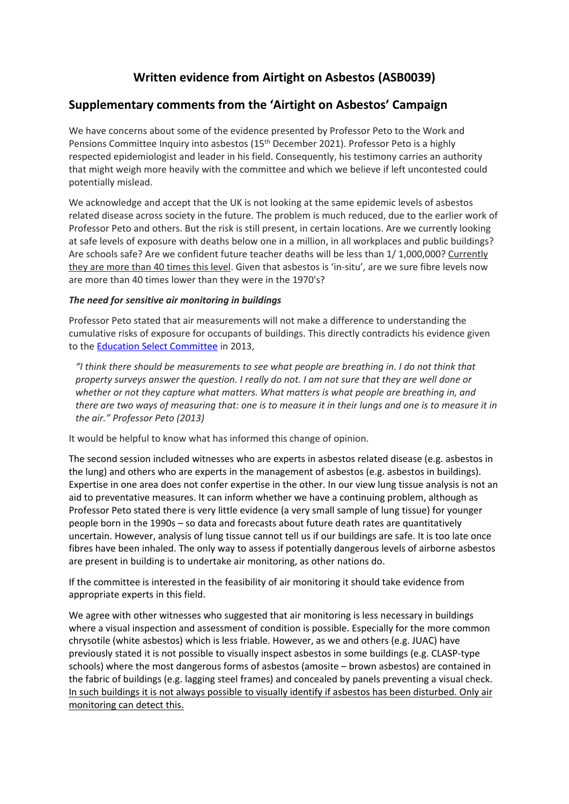# **Written evidence from Airtight on Asbestos (ASB0039)**

## **Supplementary comments from the 'Airtight on Asbestos' Campaign**

We have concerns about some of the evidence presented by Professor Peto to the Work and Pensions Committee Inquiry into asbestos (15th December 2021). Professor Peto is a highly respected epidemiologist and leader in his field. Consequently, his testimony carries an authority that might weigh more heavily with the committee and which we believe if left uncontested could potentially mislead.

We acknowledge and accept that the UK is not looking at the same epidemic levels of asbestos related disease across society in the future. The problem is much reduced, due to the earlier work of Professor Peto and others. But the risk is still present, in certain locations. Are we currently looking at safe levels of exposure with deaths below one in a million, in all workplaces and public buildings? Are schools safe? Are we confident future teacher deaths will be less than 1/ 1,000,000? Currently they are more than 40 times this level. Given that asbestos is 'in-situ', are we sure fibre levels now are more than 40 times lower than they were in the 1970's?

## *The need for sensitive air monitoring in buildings*

Professor Peto stated that air measurements will not make a difference to understanding the cumulative risks of exposure for occupants of buildings. This directly contradicts his evidence given to the [Education](https://publications.parliament.uk/pa/cm201213/cmselect/cmeduc/c1056-i/c105601.htm) [Select](https://publications.parliament.uk/pa/cm201213/cmselect/cmeduc/c1056-i/c105601.htm) [Committee](https://publications.parliament.uk/pa/cm201213/cmselect/cmeduc/c1056-i/c105601.htm) in 2013,

*"I think there should be measurements to see what people are breathing in. I do not think that* property surveys answer the question. I really do not. I am not sure that they are well done or *whether or not they capture what matters. What matters is what people are breathing in, and* there are two ways of measuring that: one is to measure it in their lungs and one is to measure it in *the air." Professor Peto (2013)*

It would be helpful to know what has informed this change of opinion.

The second session included witnesses who are experts in asbestos related disease (e.g. asbestos in the lung) and others who are experts in the management of asbestos (e.g. asbestos in buildings). Expertise in one area does not confer expertise in the other. In our view lung tissue analysis is not an aid to preventative measures. It can inform whether we have a continuing problem, although as Professor Peto stated there is very little evidence (a very small sample of lung tissue) for younger people born in the 1990s – so data and forecasts about future death rates are quantitatively uncertain. However, analysis of lung tissue cannot tell us if our buildings are safe. It is too late once fibres have been inhaled. The only way to assess if potentially dangerous levels of airborne asbestos are present in building is to undertake air monitoring, as other nations do.

If the committee is interested in the feasibility of air monitoring it should take evidence from appropriate experts in this field.

We agree with other witnesses who suggested that air monitoring is less necessary in buildings where a visual inspection and assessment of condition is possible. Especially for the more common chrysotile (white asbestos) which is less friable. However, as we and others (e.g. JUAC) have previously stated it is not possible to visually inspect asbestos in some buildings (e.g. CLASP-type schools) where the most dangerous forms of asbestos (amosite – brown asbestos) are contained in the fabric of buildings (e.g. lagging steel frames) and concealed by panels preventing a visual check. In such buildings it is not always possible to visually identify if asbestos has been disturbed. Only air monitoring can detect this.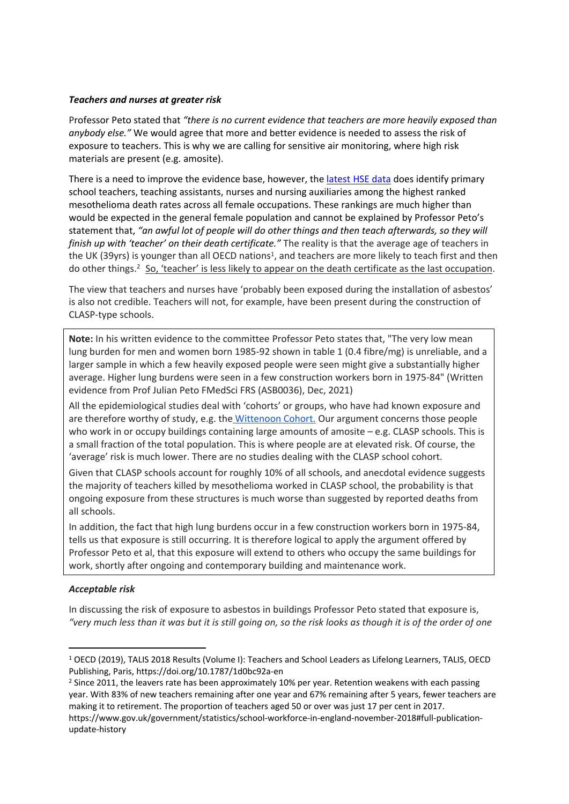#### *Teachers and nurses at greater risk*

Professor Peto stated that *"there is no current evidence that teachers are more heavily exposed than anybody else."* We would agree that more and better evidence is needed to assess the risk of exposure to teachers. This is why we are calling for sensitive air monitoring, where high risk materials are present (e.g. amosite).

There is a need to improve the evidence base, however, the [latest](http://www.hse.gov.uk/statistics/tables/mesooccupation.xlsx) [HSE](http://www.hse.gov.uk/statistics/tables/mesooccupation.xlsx) [data](http://www.hse.gov.uk/statistics/tables/mesooccupation.xlsx) does identify primary school teachers, teaching assistants, nurses and nursing auxiliaries among the highest ranked mesothelioma death rates across all female occupations. These rankings are much higher than would be expected in the general female population and cannot be explained by Professor Peto's statement that, *"an awful lot of people will do other things and then teach afterwards, so they will finish up with 'teacher' on their death certificate."* The reality is that the average age of teachers in the UK (39yrs) is younger than all OECD nations<sup>1</sup>, and teachers are more likely to teach first and then do other things.<sup>2</sup> So, 'teacher' is less likely to appear on the death certificate as the last occupation.

The view that teachers and nurses have 'probably been exposed during the installation of asbestos' is also not credible. Teachers will not, for example, have been present during the construction of CLASP-type schools.

**Note:** In his written evidence to the committee Professor Peto states that, "The very low mean lung burden for men and women born 1985-92 shown in table 1 (0.4 fibre/mg) is unreliable, and a larger sample in which a few heavily exposed people were seen might give a substantially higher average. Higher lung burdens were seen in a few construction workers born in 1975-84" (Written evidence from Prof Julian Peto FMedSci FRS (ASB0036), Dec, 2021)

All the epidemiological studies deal with 'cohorts' or groups, who have had known exposure and are therefore worthy of study, e.g. the [Wittenoon](https://academic.oup.com/ije/article/49/2/467/5610558?login=true) [Cohort.](https://academic.oup.com/ije/article/49/2/467/5610558?login=true) Our argument concerns those people who work in or occupy buildings containing large amounts of amosite – e.g. CLASP schools. This is a small fraction of the total population. This is where people are at elevated risk. Of course, the 'average' risk is much lower. There are no studies dealing with the CLASP school cohort.

Given that CLASP schools account for roughly 10% of all schools, and anecdotal evidence suggests the majority of teachers killed by mesothelioma worked in CLASP school, the probability is that ongoing exposure from these structures is much worse than suggested by reported deaths from all schools.

In addition, the fact that high lung burdens occur in a few construction workers born in 1975-84, tells us that exposure is still occurring. It is therefore logical to apply the argument offered by Professor Peto et al, that this exposure will extend to others who occupy the same buildings for work, shortly after ongoing and contemporary building and maintenance work.

#### *Acceptable risk*

In discussing the risk of exposure to asbestos in buildings Professor Peto stated that exposure is, "very much less than it was but it is still going on, so the risk looks as though it is of the order of one

<sup>2</sup> Since 2011, the leavers rate has been approximately 10% per year. Retention weakens with each passing year. With 83% of new teachers remaining after one year and 67% remaining after 5 years, fewer teachers are making it to retirement. The proportion of teachers aged 50 or over was just 17 per cent in 2017. https://www.gov.uk/government/statistics/school-workforce-in-england-november-2018#full-publicationupdate-history

<sup>1</sup> OECD (2019), TALIS 2018 Results (Volume I): Teachers and School Leaders as Lifelong Learners, TALIS, OECD Publishing, Paris, https://doi.org/10.1787/1d0bc92a-en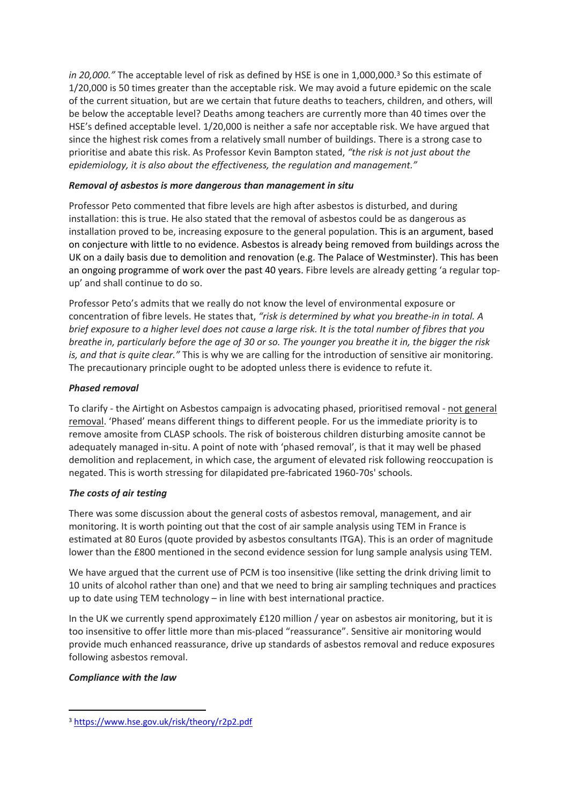*in* 20,000." The acceptable level of risk as defined by HSE is one in 1,000,000.<sup>3</sup> So this estimate of 1/20,000 is 50 times greater than the acceptable risk. We may avoid a future epidemic on the scale of the current situation, but are we certain that future deaths to teachers, children, and others, will be below the acceptable level? Deaths among teachers are currently more than 40 times over the HSE's defined acceptable level. 1/20,000 is neither a safe nor acceptable risk. We have argued that since the highest risk comes from a relatively small number of buildings. There is a strong case to prioritise and abate this risk. As Professor Kevin Bampton stated, *"the risk is not just about the epidemiology, it is also about the effectiveness, the regulation and management."*

## *Removal of asbestos is more dangerous than management in situ*

Professor Peto commented that fibre levels are high after asbestos is disturbed, and during installation: this is true. He also stated that the removal of asbestos could be as dangerous as installation proved to be, increasing exposure to the general population. This is an argument, based on conjecture with little to no evidence. Asbestos is already being removed from buildings across the UK on a daily basis due to demolition and renovation (e.g. The Palace of Westminster). This has been an ongoing programme of work over the past 40 years. Fibre levels are already getting 'a regular topup' and shall continue to do so.

Professor Peto's admits that we really do not know the level of environmental exposure or concentration of fibre levels. He states that, *"risk is determined by what you breathe-in in total. A* brief exposure to a higher level does not cause a large risk. It is the total number of fibres that you breathe in, particularly before the age of 30 or so. The younger you breathe it in, the bigger the risk *is, and that is quite clear."* This is why we are calling for the introduction of sensitive air monitoring. The precautionary principle ought to be adopted unless there is evidence to refute it.

### *Phased removal*

To clarify - the Airtight on Asbestos campaign is advocating phased, prioritised removal - not general removal. 'Phased' means different things to different people. For us the immediate priority is to remove amosite from CLASP schools. The risk of boisterous children disturbing amosite cannot be adequately managed in-situ. A point of note with 'phased removal', is that it may well be phased demolition and replacement, in which case, the argument of elevated risk following reoccupation is negated. This is worth stressing for dilapidated pre-fabricated 1960-70s' schools.

## *The costs of air testing*

There was some discussion about the general costs of asbestos removal, management, and air monitoring. It is worth pointing out that the cost of air sample analysis using TEM in France is estimated at 80 Euros (quote provided by asbestos consultants ITGA). This is an order of magnitude lower than the £800 mentioned in the second evidence session for lung sample analysis using TEM.

We have argued that the current use of PCM is too insensitive (like setting the drink driving limit to 10 units of alcohol rather than one) and that we need to bring air sampling techniques and practices up to date using TEM technology – in line with best international practice.

In the UK we currently spend approximately £120 million / year on asbestos air monitoring, but it is too insensitive to offer little more than mis-placed "reassurance". Sensitive air monitoring would provide much enhanced reassurance, drive up standards of asbestos removal and reduce exposures following asbestos removal.

#### *Compliance with the law*

<sup>3</sup> <https://www.hse.gov.uk/risk/theory/r2p2.pdf>